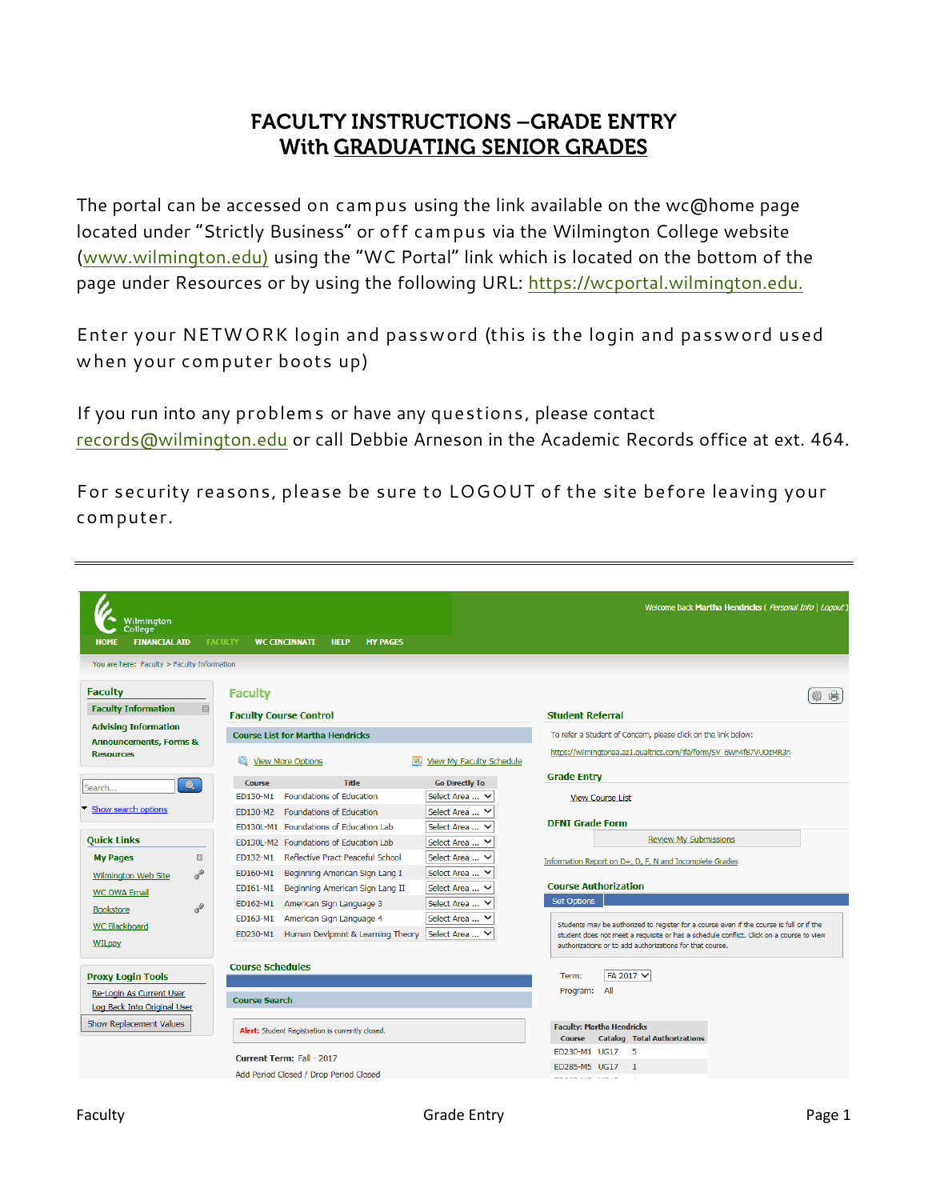# **FACULTY INSTRUCTIONS - GRADE ENTRY** With GRADUATING SENIOR GRADES

The portal can be accessed on campus using the link available on the wc@home page located under "Strictly Business" or off campus via the Wilmington College website [\(www.wilmington.edu\)](http://www.wilmington.edu/) using the "WC Portal" link which is located on the bottom of the page under Resources or by using the following URL: [https://wcportal.wilmington.edu.](https://wcportal.wilmington.edu/)

Enter your NETWORK login and password (this is the login and password used when your computer boots up)

If you run into any problems or have any questions, please contact [records@wilmington.edu](mailto:records@wilmington.edu) or call Debbie Arneson in the Academic Records office at ext. 464.

For security reasons, please be sure to LOGOUT of the site before leaving your computer.

| Wilmington                                            |                                         |                                                       |                                 | Welcome back Martha Hendricks ( Personal Info   Logout)                                                                                             |
|-------------------------------------------------------|-----------------------------------------|-------------------------------------------------------|---------------------------------|-----------------------------------------------------------------------------------------------------------------------------------------------------|
| <b>College</b><br><b>FINANCIAL AID</b><br><b>HOME</b> |                                         | <b>FACULTY</b><br><b>WC CINCINNATI</b><br><b>HELP</b> | <b>MY PAGES</b>                 |                                                                                                                                                     |
|                                                       |                                         |                                                       |                                 |                                                                                                                                                     |
| You are here: Faculty > Faculty Information           |                                         |                                                       |                                 |                                                                                                                                                     |
| <b>Faculty</b>                                        |                                         | <b>Faculty</b>                                        |                                 | 肩                                                                                                                                                   |
| <b>Faculty Information</b>                            | $\boxed{\frac{1}{2} \cdot \frac{1}{2}}$ | <b>Faculty Course Control</b>                         |                                 | <b>Student Referral</b>                                                                                                                             |
| <b>Advising Information</b>                           |                                         | <b>Course List for Martha Hendricks</b>               |                                 | To refer a Student of Concern, please click on the link below:                                                                                      |
| <b>Announcements, Forms &amp;</b><br><b>Resources</b> |                                         |                                                       |                                 | https://wilmingtonaa.az1.qualtrics.com/jfe/form/SV 6Wn4f87VUOzMR3n                                                                                  |
|                                                       |                                         | <b>View More Options</b>                              | <b>View My Faculty Schedule</b> |                                                                                                                                                     |
| Search                                                | $\bullet$                               | <b>Title</b><br><b>Course</b>                         | <b>Go Directly To</b>           | <b>Grade Entry</b>                                                                                                                                  |
|                                                       |                                         | <b>Foundations of Education</b><br>ED130-M1           | Select Area  V                  | <b>View Course List</b>                                                                                                                             |
| Show search options                                   |                                         | <b>Foundations of Education</b><br>ED130-M2           | Select Area  V                  | <b>DFNI Grade Form</b>                                                                                                                              |
|                                                       |                                         | ED130L-M1 Foundations of Education Lab                | Select Area  V                  | <b>Review My Submissions</b>                                                                                                                        |
| <b>Quick Links</b>                                    |                                         | ED130L-M2 Foundations of Education Lab                | Select Area  V                  |                                                                                                                                                     |
| <b>My Pages</b>                                       | $\boxed{13}$                            | Reflective Pract Peaceful School<br>ED132-M1          | Select Area  V                  | Information Report on D+, D, F, N and Incomplete Grades                                                                                             |
| Wilmington Web Site                                   | $\sigma^2$                              | ED160-M1<br>Beginning American Sign Lang I            | Select Area  V                  |                                                                                                                                                     |
| <b>WC OWA Email</b>                                   |                                         | Beginning American Sign Lang II<br>ED161-M1           | Select Area  V                  | <b>Course Authorization</b>                                                                                                                         |
| <b>Bookstore</b>                                      | $\sigma^2$                              | American Sign Language 3<br>ED162-M1                  | Select Area  V                  | <b>Set Options</b>                                                                                                                                  |
| <b>WC Blackboard</b>                                  |                                         | American Sign Language 4<br>ED163-M1                  | Select Area  V                  | Students may be authorized to register for a course even if the course is full or if the                                                            |
| <b>WILpay</b>                                         |                                         | ED230-M1 Human Devlpmnt & Learning Theory             | Select Area  V                  | student does not meet a requisite or has a schedule conflict. Click on a course to view<br>authorizations or to add authorizations for that course. |
|                                                       |                                         |                                                       |                                 |                                                                                                                                                     |
| <b>Proxy Login Tools</b>                              |                                         | <b>Course Schedules</b>                               |                                 | FA 2017 V<br>Term:                                                                                                                                  |
| Re-Login As Current User                              |                                         |                                                       |                                 | Program:<br>All                                                                                                                                     |
| Log Back Into Original User                           |                                         | <b>Course Search</b>                                  |                                 |                                                                                                                                                     |
| Show Replacement Values                               |                                         | Alert: Student Registration is currently closed.      |                                 | <b>Faculty: Martha Hendricks</b>                                                                                                                    |
|                                                       |                                         |                                                       |                                 | <b>Catalog Total Authorizations</b><br>Course                                                                                                       |
|                                                       |                                         | Current Term: Fall - 2017                             |                                 | ED230-M1 UG17<br>- 5                                                                                                                                |
|                                                       |                                         | Add Period Closed / Drop Period Closed                |                                 | ED285-M5 UG17<br>$\blacksquare$<br>---- --- ----                                                                                                    |
|                                                       |                                         |                                                       |                                 |                                                                                                                                                     |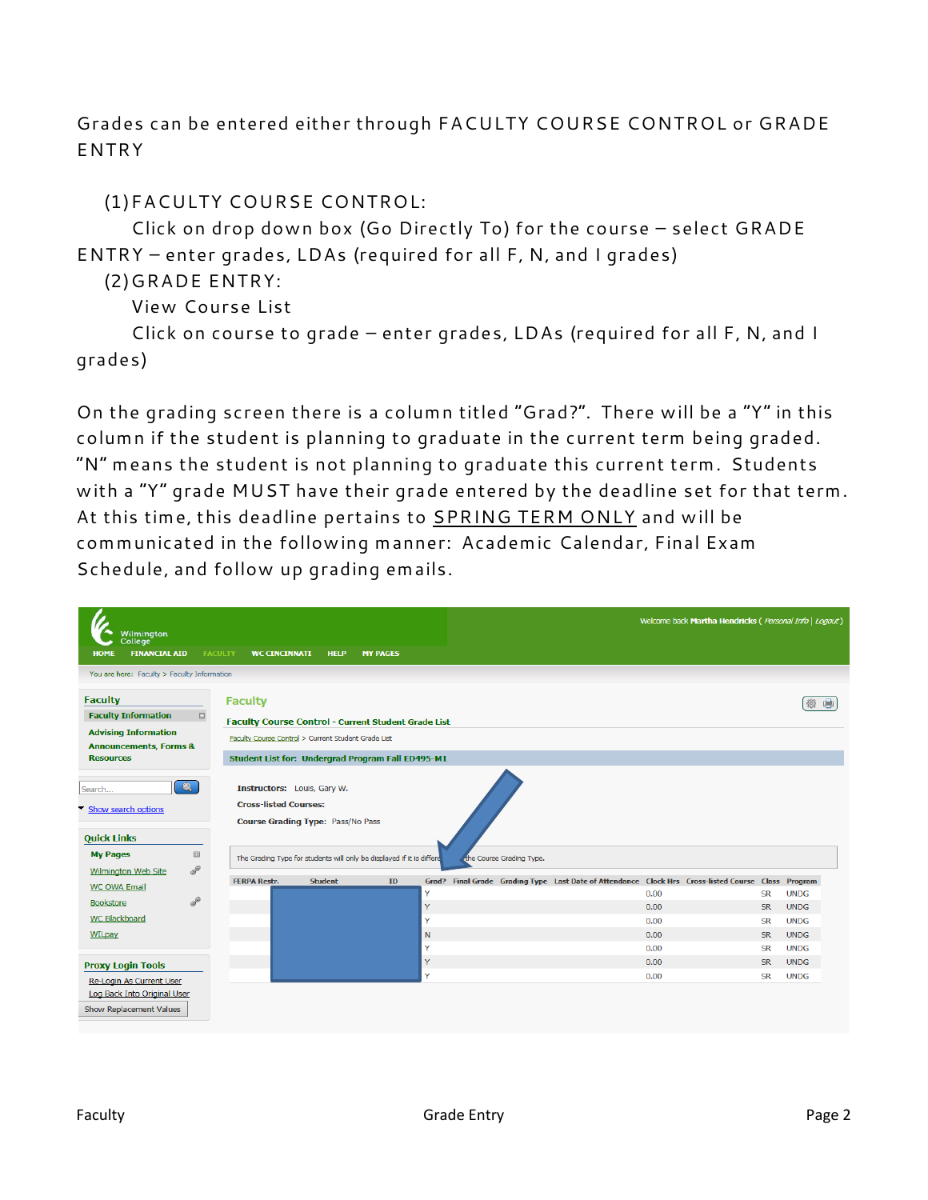Grades can be entered either through FACULTY COURSE CONTROL or GRADE ENTRY

### (1)FACULTY COURSE CONTROL:

Click on drop down box (Go Directly To) for the course – select GRADE ENTRY – enter grades, LDAs (required for all F, N, and I grades)

#### (2)GRADE ENTRY:

View Course List

Click on course to grade – enter grades, LDAs (required for all F, N, and I grades)

On the grading screen there is a column titled "Grad?". There will be a "Y" in this column if the student is planning to graduate in the current term being graded. "N" means the student is not planning to graduate this current term. Students with a "Y" grade MUST have their grade entered by the deadline set for that term. At this time, this deadline pertains to SPRING TERM ONLY and will be communicated in the following manner: Academic Calendar, Final Exam Schedule, and follow up grading emails.

| Wilmington                                                                               |                     |                                                                                                                                                                           |                 |        |                          | Welcome back Martha Hendricks ( Personal Info   Logout)                                            |                        |                            |
|------------------------------------------------------------------------------------------|---------------------|---------------------------------------------------------------------------------------------------------------------------------------------------------------------------|-----------------|--------|--------------------------|----------------------------------------------------------------------------------------------------|------------------------|----------------------------|
| College <sup>®</sup><br><b>FINANCIAL AID</b><br>HOMI                                     | <b>FACULTY</b>      | <b>WC CINCINNATI</b><br><b>HELP</b>                                                                                                                                       | <b>MY PAGES</b> |        |                          |                                                                                                    |                        |                            |
| You are here: Faculty > Faculty Information                                              |                     |                                                                                                                                                                           |                 |        |                          |                                                                                                    |                        |                            |
| <b>Faculty</b>                                                                           | <b>Faculty</b>      |                                                                                                                                                                           |                 |        |                          |                                                                                                    |                        | ⊜                          |
| <b>Faculty Information</b>                                                               | 田                   | <b>Faculty Course Control - Current Student Grade List</b>                                                                                                                |                 |        |                          |                                                                                                    |                        |                            |
| <b>Advising Information</b><br><b>Announcements, Forms &amp;</b>                         |                     | Faculty Course Control > Current Student Grade List                                                                                                                       |                 |        |                          |                                                                                                    |                        |                            |
| <b>Resources</b>                                                                         |                     | Student List for: Undergrad Program Fall ED495-M1                                                                                                                         |                 |        |                          |                                                                                                    |                        |                            |
| $\bullet$<br>Search<br>Show search options<br><b>Quick Links</b><br>四<br><b>My Pages</b> |                     | Instructors: Louis, Gary W.<br><b>Cross-listed Courses:</b><br>Course Grading Type: Pass/No Pass<br>The Grading Type for students will only be displayed if it is differe |                 |        | the Course Grading Type. |                                                                                                    |                        |                            |
| P<br><b>Wilmington Web Site</b>                                                          |                     |                                                                                                                                                                           |                 |        |                          |                                                                                                    |                        |                            |
| <b>WC OWA Email</b>                                                                      | <b>FERPA Restr.</b> | <b>Student</b>                                                                                                                                                            | ID              |        |                          | Grad? Final Grade Grading Type Last Date of Attendance Clock Hrs Cross-listed Course Class Program |                        |                            |
| P<br><b>Bookstore</b>                                                                    |                     |                                                                                                                                                                           |                 | Y<br>Y |                          | 0.00<br>0.00                                                                                       | <b>SR</b><br><b>SR</b> | <b>UNDG</b><br><b>UNDG</b> |
| <b>WC Blackboard</b>                                                                     |                     |                                                                                                                                                                           |                 | Y      |                          | 0.00                                                                                               | <b>SR</b>              | <b>UNDG</b>                |
| <b>WILpay</b>                                                                            |                     |                                                                                                                                                                           |                 | N      |                          | 0.00                                                                                               | <b>SR</b>              | <b>UNDG</b>                |
|                                                                                          |                     |                                                                                                                                                                           |                 | Y      |                          | 0.00                                                                                               | <b>SR</b>              | <b>UNDG</b>                |
| <b>Proxy Login Tools</b>                                                                 |                     |                                                                                                                                                                           |                 | Y      |                          | 0.00                                                                                               | <b>SR</b>              | <b>UNDG</b>                |
| Re-Login As Current User                                                                 |                     |                                                                                                                                                                           |                 | Y      |                          | 0.00                                                                                               | <b>SR</b>              | <b>UNDG</b>                |
| Log Back Into Original User                                                              |                     |                                                                                                                                                                           |                 |        |                          |                                                                                                    |                        |                            |
| Show Replacement Values                                                                  |                     |                                                                                                                                                                           |                 |        |                          |                                                                                                    |                        |                            |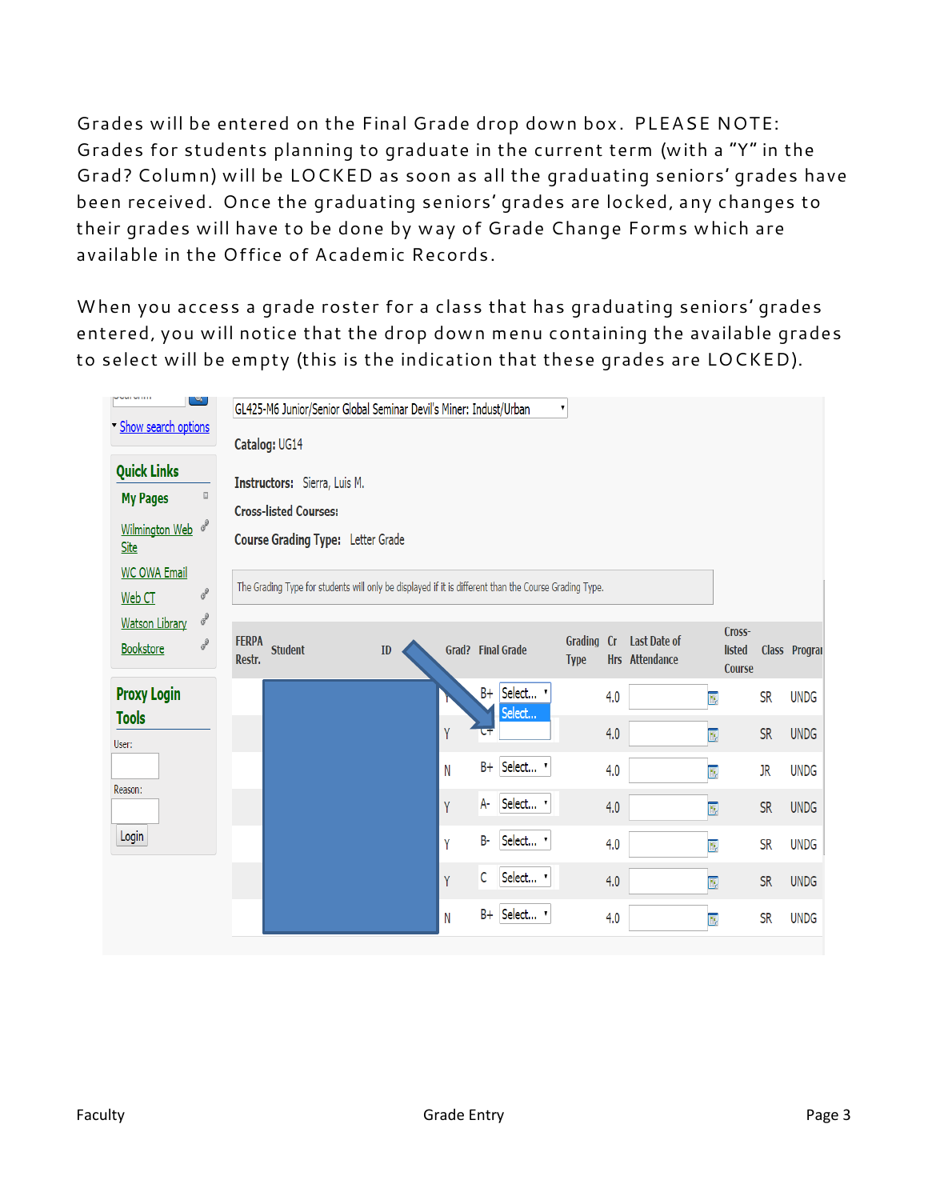Grades will be entered on the Final Grade drop down box. PLEASE NOTE: Grades for students planning to graduate in the current term (with a "Y" in the Grad? Column) will be LOCKED as soon as all the graduating seniors' grades have been received. Once the graduating seniors' grades are locked, any changes to their grades will have to be done by way of Grade Change Forms which are available in the Office of Academic Records.

When you access a grade roster for a class that has graduating seniors' grades entered, you will notice that the drop down menu containing the available grades to select will be empty (this is the indication that these grades are LOCKED).

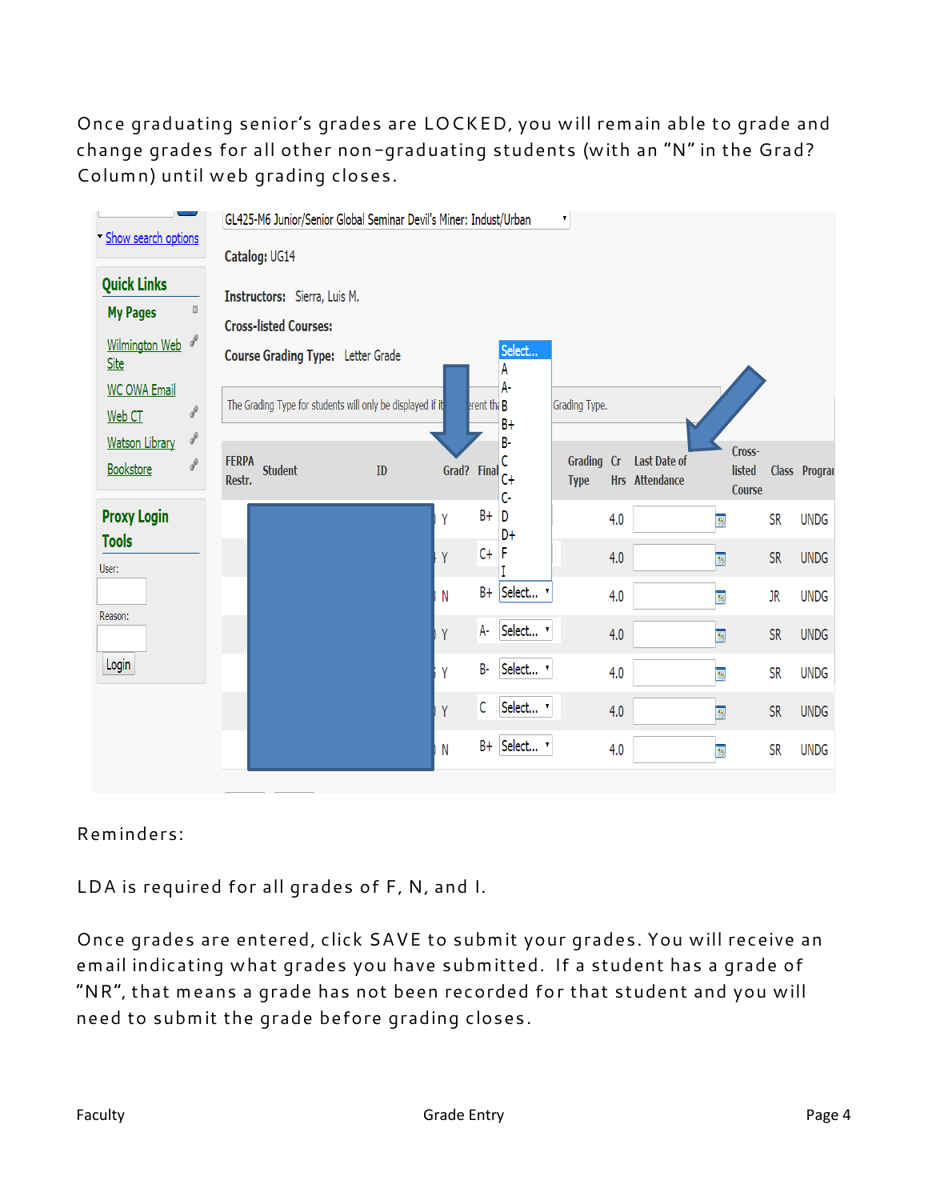Once graduating senior's grades are LOCKED, you will remain able to grade and change grades for all other non-graduating students (with an "N" in the Grad? Column) until web grading closes.

|                                                                                     | GL425-M6 Junior/Senior Global Seminar Devil's Miner: Indust/Urban |            |              |               |                            | 7                         |     |                                       |                            |           |               |
|-------------------------------------------------------------------------------------|-------------------------------------------------------------------|------------|--------------|---------------|----------------------------|---------------------------|-----|---------------------------------------|----------------------------|-----------|---------------|
| Show search options                                                                 | Catalog: UG14                                                     |            |              |               |                            |                           |     |                                       |                            |           |               |
| <b>Quick Links</b><br>$\boxdot$<br><b>My Pages</b>                                  | Instructors: Sierra, Luis M.                                      |            |              |               |                            |                           |     |                                       |                            |           |               |
| P<br><b>Wilmington Web</b><br><b>Site</b>                                           | <b>Cross-listed Courses:</b><br>Course Grading Type: Letter Grade |            |              |               | Select<br>A                |                           |     |                                       |                            |           |               |
| <b>WC OWA Email</b><br>$\boldsymbol{\delta}^0$<br>Web CT<br>$\boldsymbol{\theta}^0$ | The Grading Type for students will only be displayed if it        |            |              | erent the $B$ | $A -$<br>$B +$             | Grading Type.             |     |                                       |                            |           |               |
| <b>Watson Library</b><br>$\mathcal{S}^0$<br>Bookstore                               | <b>FERPA</b><br><b>Student</b><br>Restr.                          | ${\bf ID}$ | Grad? Final  |               | B-<br>$\overline{C}$<br>c. | Grading Cr<br><b>Type</b> |     | <b>Last Date of</b><br>Hrs Attendance | Cross-<br>listed<br>Course |           | Class Program |
| <b>Proxy Login</b>                                                                  |                                                                   |            | Y            | $B +$         | D<br>D+                    |                           | 4.0 | $\overline{\mathbf{E}}$               |                            | <b>SR</b> | <b>UNDG</b>   |
| <b>Tools</b><br>User:                                                               |                                                                   |            | Y            | $C +$         |                            |                           | 4.0 | $\overline{\mathbf{E}}$               |                            | <b>SR</b> | <b>UNDG</b>   |
|                                                                                     |                                                                   |            | $\mathsf{N}$ | $B +$         | Select v                   |                           | 4.0 | E,                                    |                            | JR        | <b>UNDG</b>   |
| Reason:                                                                             |                                                                   |            | Y            | A-            | Select v                   |                           | 4.0 | $\overline{\mathbf{E}}$               |                            | <b>SR</b> | <b>UNDG</b>   |
| Login                                                                               |                                                                   |            | Y            | B-            | Select v                   |                           | 4.0 | $\overline{\mathbf{E}}$               |                            | <b>SR</b> | <b>UNDG</b>   |
|                                                                                     |                                                                   |            | Y            | С             | Select v                   |                           | 4.0 | $\overline{\mathbb{E}}$               |                            | <b>SR</b> | <b>UNDG</b>   |
|                                                                                     |                                                                   |            | N            | $B +$         | Select v                   |                           | 4.0 | $\overline{\mathbf{E}}$               |                            | <b>SR</b> | <b>UNDG</b>   |

#### Reminders:

LDA is required for all grades of F, N, and I.

Once grades are entered, click SAVE to submit your grades. You will receive an email indicating what grades you have submitted. If a student has a grade of "NR", that means a grade has not been recorded for that student and you will need to submit the grade before grading closes.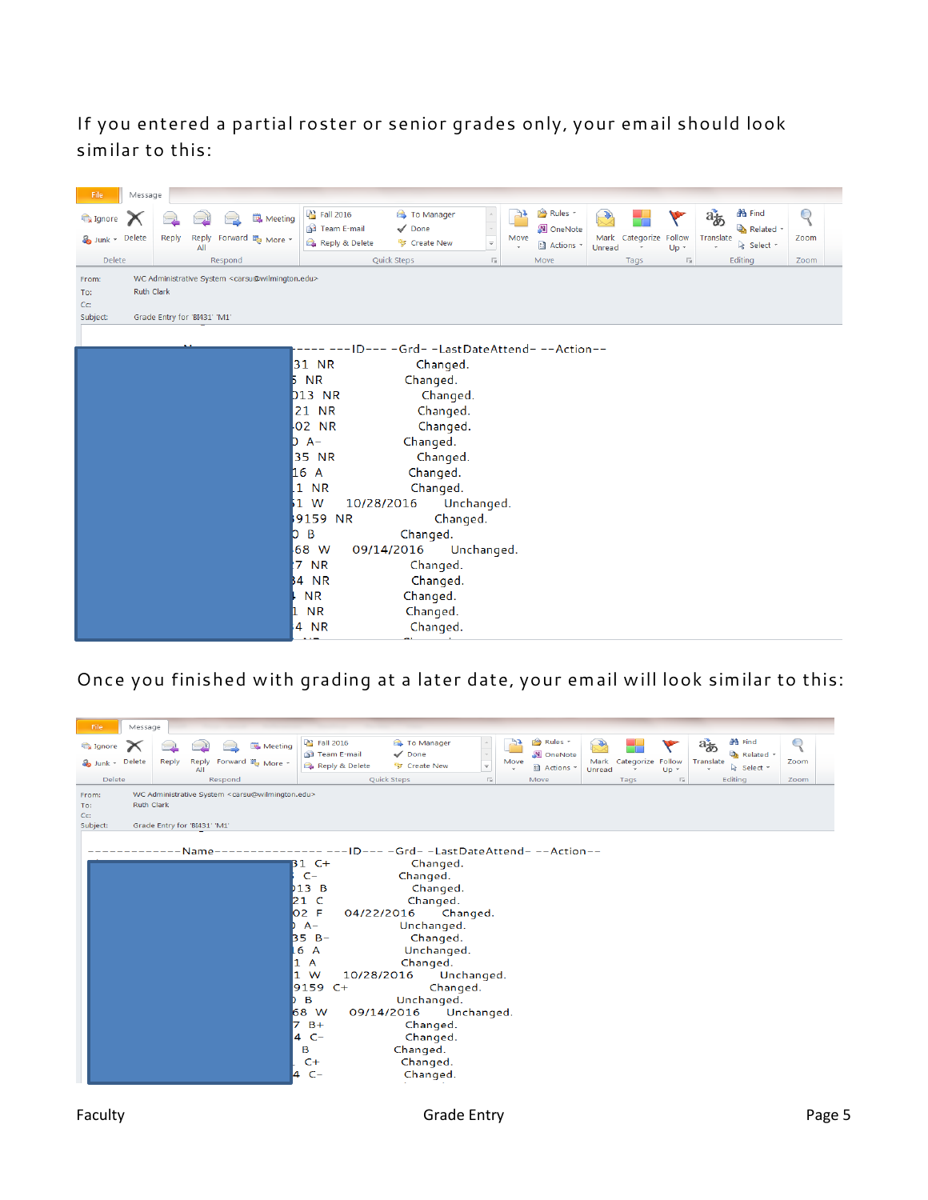If you entered a partial roster or senior grades only, your email should look similar to this:



Once you finished with grading at a later date, your email will look similar to this:

| File<br>Message                    |                                                   |                                                                        |                                                                                                                                                                                            |                                                                                                                                                                                                                                                                |                                      |            |                                             |                |                   |           |                                    |                                           |                         |
|------------------------------------|---------------------------------------------------|------------------------------------------------------------------------|--------------------------------------------------------------------------------------------------------------------------------------------------------------------------------------------|----------------------------------------------------------------------------------------------------------------------------------------------------------------------------------------------------------------------------------------------------------------|--------------------------------------|------------|---------------------------------------------|----------------|-------------------|-----------|------------------------------------|-------------------------------------------|-------------------------|
| Ignore<br>Junk - Delete            | Reply<br>Reply<br>AII                             | Meeting<br>Forward <b>E</b> More *                                     | <sup>33</sup> Fall 2016<br>Team E-mail<br>Reply & Delete                                                                                                                                   | <b>B</b> To Manager<br>$\checkmark$ Done<br><sup>53</sup> Create New                                                                                                                                                                                           | $\overline{\mathscr{V}}$             | 75<br>Move | Rules *<br>N OneNote<br><b>El</b> Actions * | Mark<br>Unread | Categorize Follow | $Up^{-1}$ | $a_{\overline{\phi}}$<br>Translate | <b>44</b> Find<br>Related *<br>& Select * | ${\mathcal{Q}}$<br>Zoom |
| <b>Delete</b>                      |                                                   | Respond                                                                |                                                                                                                                                                                            | Quick Steps                                                                                                                                                                                                                                                    | $\overline{\mathbb{F}_M}$ .          | Move       |                                             |                | Tags              | 匠         | Editing                            |                                           | Zoom                    |
| From:<br>To:<br>$Cc$ :<br>Subject: | <b>Ruth Clark</b><br>Grade Entry for 'BI431' 'M1' | WC Administrative System <carsu@wilmington.edu></carsu@wilmington.edu> |                                                                                                                                                                                            |                                                                                                                                                                                                                                                                |                                      |            |                                             |                |                   |           |                                    |                                           |                         |
|                                    | Name-                                             | 1<br>1<br>7                                                            | <b>B1</b> C+<br>$C-$<br>b13B<br>21 C<br>O2 F<br>$A -$<br>$35 B -$<br>$-6$<br>$\overline{A}$<br>A<br>W<br>10/28/2016<br>9159<br>$C+$<br>B<br>68 W<br>$B+$<br>$C-$<br>4<br>B<br>$C+$<br>4 C- | -ID--- -Grd- -LastDateAttend- --Action--<br>Changed.<br>Changed.<br>Changed.<br>Changed.<br>04/22/2016<br>Unchanged.<br>Changed.<br>Unchanged.<br>Changed.<br>Changed.<br>Unchanged.<br>09/14/2016<br>Changed.<br>Changed.<br>Changed.<br>Changed.<br>Changed. | Changed.<br>Unchanged.<br>Unchanged. |            |                                             |                |                   |           |                                    |                                           |                         |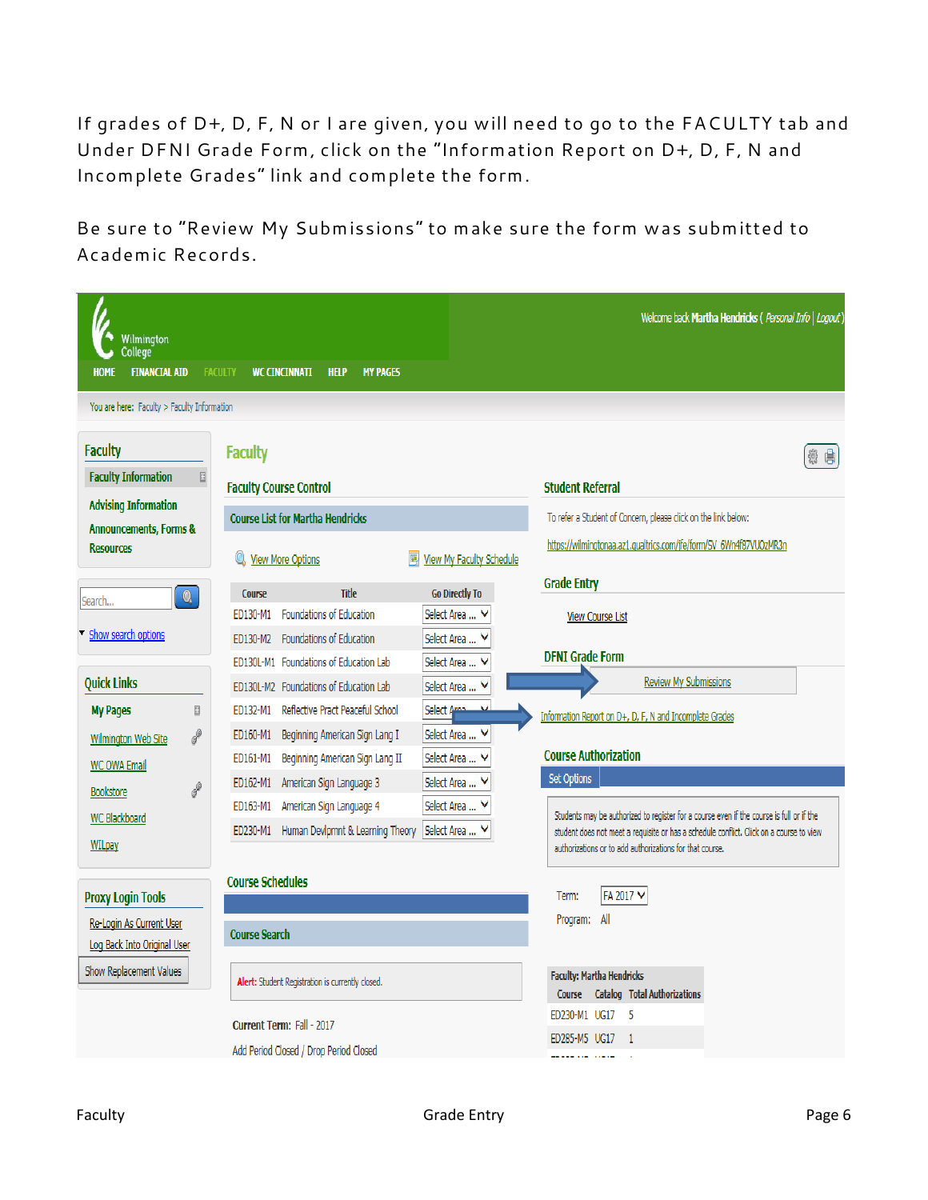If grades of D+, D, F, N or I are given, you will need to go to the FACULTY tab and Under DFNI Grade Form, click on the "Information Report on D+, D, F, N and Incomplete Grades" link and complete the form.

Be sure to "Review My Submissions" to make sure the form was submitted to Academic Records.

| Wilmington<br>College<br><b>FINANCIAL AID</b><br><b>HOME</b> | <b>FACULTY</b> | <b>WC CINCINNATI</b><br><b>HELP</b><br><b>MY PAGES</b>                                                                        | Welcome back Martha Hendricks ( Personal Info   Logout)                                                                                                                             |
|--------------------------------------------------------------|----------------|-------------------------------------------------------------------------------------------------------------------------------|-------------------------------------------------------------------------------------------------------------------------------------------------------------------------------------|
| You are here: Faculty > Faculty Information                  |                |                                                                                                                               |                                                                                                                                                                                     |
| <b>Faculty</b><br><b>Faculty Information</b>                 | $\boxdot$      | <b>Faculty</b><br><b>Faculty Course Control</b>                                                                               | 倉<br><b>Student Referral</b>                                                                                                                                                        |
| <b>Advising Information</b>                                  |                | <b>Course List for Martha Hendricks</b>                                                                                       | To refer a Student of Concern, please click on the link below:                                                                                                                      |
| <b>Announcements, Forms &amp;</b><br><b>Resources</b>        |                | 圜<br><b>View My Faculty Schedule</b><br><b>View More Options</b>                                                              | https://wilmingtonaa.az1.qualtrics.com/jfe/form/SV_6Wn4f87VUOzMR3n                                                                                                                  |
| $\bullet$<br>Search                                          |                | <b>Title</b><br><b>Course</b><br><b>Go Directly To</b>                                                                        | <b>Grade Entry</b>                                                                                                                                                                  |
|                                                              |                | Foundations of Education<br>Select Area  V<br>ED130-M1                                                                        | <b>View Course List</b>                                                                                                                                                             |
| Show search options                                          |                | Foundations of Education<br>Select Area<br>ED130-M2                                                                           | <b>DFNI Grade Form</b>                                                                                                                                                              |
|                                                              |                | ED130L-M1 Foundations of Education Lab<br>Select Area                                                                         | Review My Submissions                                                                                                                                                               |
| <b>Quick Links</b>                                           |                | ED130L-M2 Foundations of Education Lab<br>Select Area                                                                         |                                                                                                                                                                                     |
| <b>My Pages</b>                                              | ₪              | Reflective Pract Peaceful School<br>ED132-M1<br>Select A                                                                      | Information Report on D+, D, F, N and Incomplete Grades                                                                                                                             |
| Wilmington Web Site                                          | $\mathscr{E}$  | Select Area  V<br>ED160-M1<br>Beginning American Sign Lang I<br>Beginning American Sign Lang II<br>Select Area  V<br>ED161-M1 | <b>Course Authorization</b>                                                                                                                                                         |
| <b>WC OWA Email</b>                                          |                | Select Area<br>American Sign Language 3<br>ED162-M1                                                                           | <b>Set Options</b>                                                                                                                                                                  |
| Bookstore                                                    | $\mathscr{E}$  | American Sign Language 4<br>Select Area<br>ED163-M1                                                                           |                                                                                                                                                                                     |
| WC Blackboard                                                |                | Human Devlpmnt & Learning Theory<br>Select Area<br>ED230-M1                                                                   | Students may be authorized to register for a course even if the course is full or if the<br>student does not meet a requisite or has a schedule conflict. Click on a course to view |
| <b>WILpay</b>                                                |                |                                                                                                                               | authorizations or to add authorizations for that course.                                                                                                                            |
|                                                              |                | <b>Course Schedules</b>                                                                                                       |                                                                                                                                                                                     |
| <b>Proxy Login Tools</b>                                     |                |                                                                                                                               | FA 2017 V<br>Term:                                                                                                                                                                  |
| Re-Login As Current User<br>Log Back Into Original User      |                | <b>Course Search</b>                                                                                                          | All<br>Program:                                                                                                                                                                     |
| Show Replacement Values                                      |                | Alert: Student Registration is currently closed.                                                                              | <b>Faculty: Martha Hendricks</b><br><b>Catalog Total Authorizations</b><br>Course                                                                                                   |
|                                                              |                | Current Term: Fall - 2017                                                                                                     | ED230-M1 UG17<br>- 5                                                                                                                                                                |
|                                                              |                | Add Period Closed / Drop Period Closed                                                                                        | ED285-M5 UG17<br>$\overline{1}$                                                                                                                                                     |
|                                                              |                |                                                                                                                               |                                                                                                                                                                                     |